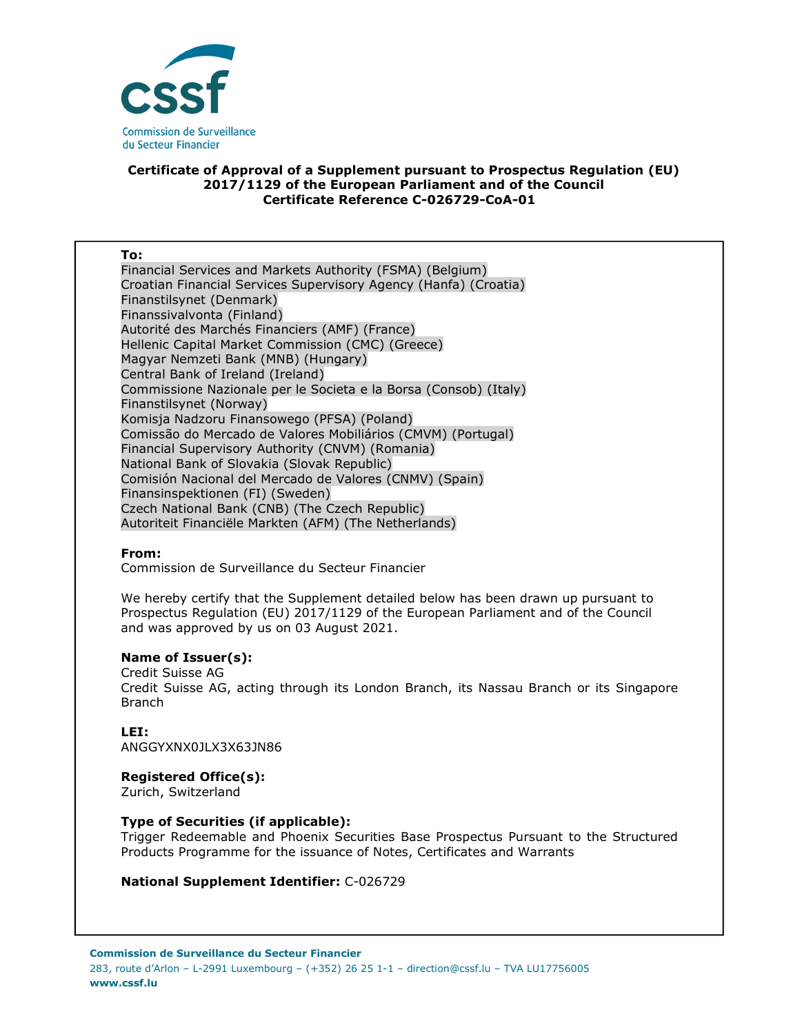

### **Certificate of Approval of a Supplement pursuant to Prospectus Regulation (EU) 2017/1129 of the European Parliament and of the Council Certificate Reference C-026729-CoA-01**

#### **To:**

Financial Services and Markets Authority (FSMA) (Belgium) Croatian Financial Services Supervisory Agency (Hanfa) (Croatia) Finanstilsynet (Denmark) Finanssivalvonta (Finland) Autorité des Marchés Financiers (AMF) (France) Hellenic Capital Market Commission (CMC) (Greece) Magyar Nemzeti Bank (MNB) (Hungary) Central Bank of Ireland (Ireland) Commissione Nazionale per le Societa e la Borsa (Consob) (Italy) Finanstilsynet (Norway) Komisja Nadzoru Finansowego (PFSA) (Poland) Comissão do Mercado de Valores Mobiliários (CMVM) (Portugal) Financial Supervisory Authority (CNVM) (Romania) National Bank of Slovakia (Slovak Republic) Comisión Nacional del Mercado de Valores (CNMV) (Spain) Finansinspektionen (FI) (Sweden) Czech National Bank (CNB) (The Czech Republic) Autoriteit Financiële Markten (AFM) (The Netherlands)

#### **From:**

Commission de Surveillance du Secteur Financier

We hereby certify that the Supplement detailed below has been drawn up pursuant to Prospectus Regulation (EU) 2017/1129 of the European Parliament and of the Council and was approved by us on 03 August 2021.

#### **Name of Issuer(s):**

Credit Suisse AG Credit Suisse AG, acting through its London Branch, its Nassau Branch or its Singapore Branch

### **LEI:**

ANGGYXNX0JLX3X63JN86

# **Registered Office(s):**

Zurich, Switzerland

### **Type of Securities (if applicable):**

Trigger Redeemable and Phoenix Securities Base Prospectus Pursuant to the Structured Products Programme for the issuance of Notes, Certificates and Warrants

#### **National Supplement Identifier:** C-026729